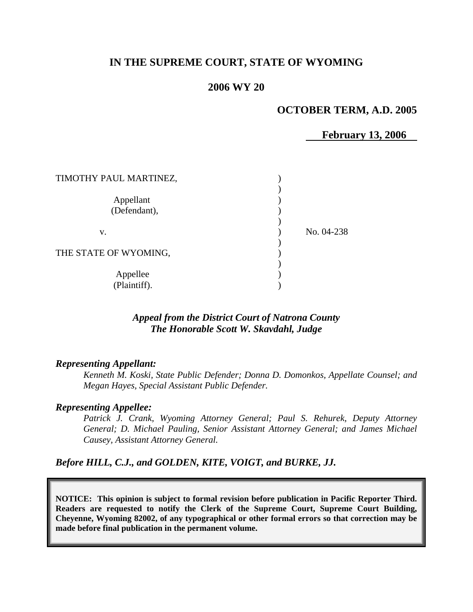## **IN THE SUPREME COURT, STATE OF WYOMING**

### **2006 WY 20**

## **OCTOBER TERM, A.D. 2005**

**February 13, 2006** 

| TIMOTHY PAUL MARTINEZ,    |            |
|---------------------------|------------|
| Appellant<br>(Defendant), |            |
| v.                        | No. 04-238 |
| THE STATE OF WYOMING,     |            |
| Appellee<br>(Plaintiff).  |            |

## *Appeal from the District Court of Natrona County The Honorable Scott W. Skavdahl, Judge*

#### *Representing Appellant:*

*Kenneth M. Koski, State Public Defender; Donna D. Domonkos, Appellate Counsel; and Megan Hayes, Special Assistant Public Defender.* 

#### *Representing Appellee:*

*Patrick J. Crank, Wyoming Attorney General; Paul S. Rehurek, Deputy Attorney General; D. Michael Pauling, Senior Assistant Attorney General; and James Michael Causey, Assistant Attorney General.* 

*Before HILL, C.J., and GOLDEN, KITE, VOIGT, and BURKE, JJ.* 

**NOTICE: This opinion is subject to formal revision before publication in Pacific Reporter Third. Readers are requested to notify the Clerk of the Supreme Court, Supreme Court Building, Cheyenne, Wyoming 82002, of any typographical or other formal errors so that correction may be made before final publication in the permanent volume.**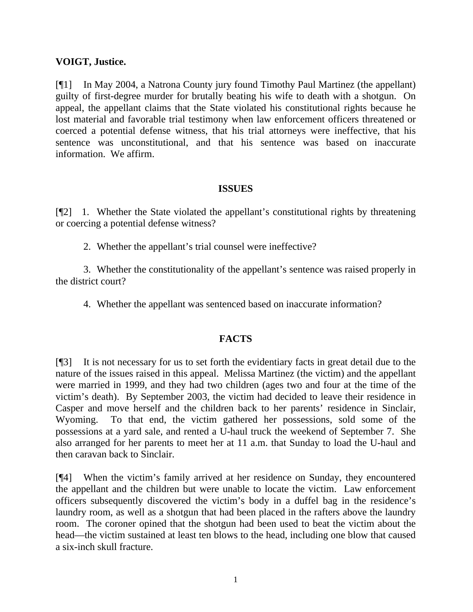## **VOIGT, Justice.**

[¶1] In May 2004, a Natrona County jury found Timothy Paul Martinez (the appellant) guilty of first-degree murder for brutally beating his wife to death with a shotgun. On appeal, the appellant claims that the State violated his constitutional rights because he lost material and favorable trial testimony when law enforcement officers threatened or coerced a potential defense witness, that his trial attorneys were ineffective, that his sentence was unconstitutional, and that his sentence was based on inaccurate information. We affirm.

## **ISSUES**

[¶2] 1. Whether the State violated the appellant's constitutional rights by threatening or coercing a potential defense witness?

2. Whether the appellant's trial counsel were ineffective?

3. Whether the constitutionality of the appellant's sentence was raised properly in the district court?

4. Whether the appellant was sentenced based on inaccurate information?

# **FACTS**

[¶3] It is not necessary for us to set forth the evidentiary facts in great detail due to the nature of the issues raised in this appeal. Melissa Martinez (the victim) and the appellant were married in 1999, and they had two children (ages two and four at the time of the victim's death). By September 2003, the victim had decided to leave their residence in Casper and move herself and the children back to her parents' residence in Sinclair, Wyoming. To that end, the victim gathered her possessions, sold some of the possessions at a yard sale, and rented a U-haul truck the weekend of September 7. She also arranged for her parents to meet her at 11 a.m. that Sunday to load the U-haul and then caravan back to Sinclair.

[¶4] When the victim's family arrived at her residence on Sunday, they encountered the appellant and the children but were unable to locate the victim. Law enforcement officers subsequently discovered the victim's body in a duffel bag in the residence's laundry room, as well as a shotgun that had been placed in the rafters above the laundry room. The coroner opined that the shotgun had been used to beat the victim about the head—the victim sustained at least ten blows to the head, including one blow that caused a six-inch skull fracture.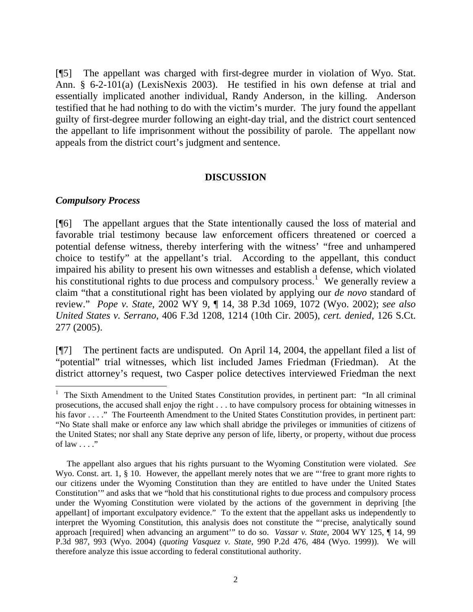[¶5] The appellant was charged with first-degree murder in violation of Wyo. Stat. Ann. § 6-2-101(a) (LexisNexis 2003). He testified in his own defense at trial and essentially implicated another individual, Randy Anderson, in the killing. Anderson testified that he had nothing to do with the victim's murder. The jury found the appellant guilty of first-degree murder following an eight-day trial, and the district court sentenced the appellant to life imprisonment without the possibility of parole. The appellant now appeals from the district court's judgment and sentence.

#### **DISCUSSION**

## *Compulsory Process*

l

[¶6] The appellant argues that the State intentionally caused the loss of material and favorable trial testimony because law enforcement officers threatened or coerced a potential defense witness, thereby interfering with the witness' "free and unhampered choice to testify" at the appellant's trial. According to the appellant, this conduct impaired his ability to present his own witnesses and establish a defense, which violated his constitutional rights to due process and compulsory process.<sup>[1](#page-2-0)</sup> We generally review a claim "that a constitutional right has been violated by applying our *de novo* standard of review." *Pope v. State*, 2002 WY 9, ¶ 14, 38 P.3d 1069, 1072 (Wyo. 2002); *see also United States v. Serrano*, 406 F.3d 1208, 1214 (10th Cir. 2005), *cert. denied*, 126 S.Ct. 277 (2005).

[¶7] The pertinent facts are undisputed. On April 14, 2004, the appellant filed a list of "potential" trial witnesses, which list included James Friedman (Friedman). At the district attorney's request, two Casper police detectives interviewed Friedman the next

<span id="page-2-0"></span><sup>1</sup> The Sixth Amendment to the United States Constitution provides, in pertinent part: "In all criminal prosecutions, the accused shall enjoy the right . . . to have compulsory process for obtaining witnesses in his favor . . . ." The Fourteenth Amendment to the United States Constitution provides, in pertinent part: "No State shall make or enforce any law which shall abridge the privileges or immunities of citizens of the United States; nor shall any State deprive any person of life, liberty, or property, without due process of law  $\ldots$ ."

The appellant also argues that his rights pursuant to the Wyoming Constitution were violated. *See* Wyo. Const. art. 1, § 10. However, the appellant merely notes that we are "free to grant more rights to our citizens under the Wyoming Constitution than they are entitled to have under the United States Constitution'" and asks that we "hold that his constitutional rights to due process and compulsory process under the Wyoming Constitution were violated by the actions of the government in depriving [the appellant] of important exculpatory evidence." To the extent that the appellant asks us independently to interpret the Wyoming Constitution, this analysis does not constitute the "'precise, analytically sound approach [required] when advancing an argument'" to do so. *Vassar v. State*, 2004 WY 125, ¶ 14, 99 P.3d 987, 993 (Wyo. 2004) (*quoting Vasquez v. State*, 990 P.2d 476, 484 (Wyo. 1999)). We will therefore analyze this issue according to federal constitutional authority.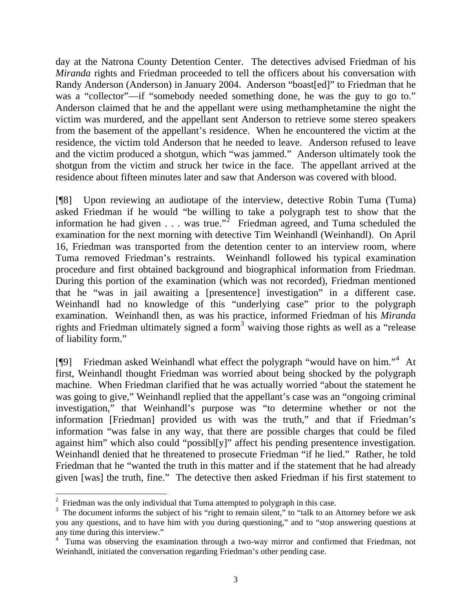day at the Natrona County Detention Center. The detectives advised Friedman of his *Miranda* rights and Friedman proceeded to tell the officers about his conversation with Randy Anderson (Anderson) in January 2004. Anderson "boast[ed]" to Friedman that he was a "collector"—if "somebody needed something done, he was the guy to go to." Anderson claimed that he and the appellant were using methamphetamine the night the victim was murdered, and the appellant sent Anderson to retrieve some stereo speakers from the basement of the appellant's residence. When he encountered the victim at the residence, the victim told Anderson that he needed to leave. Anderson refused to leave and the victim produced a shotgun, which "was jammed." Anderson ultimately took the shotgun from the victim and struck her twice in the face. The appellant arrived at the residence about fifteen minutes later and saw that Anderson was covered with blood.

[¶8] Upon reviewing an audiotape of the interview, detective Robin Tuma (Tuma) asked Friedman if he would "be willing to take a polygraph test to show that the information he had given  $\ldots$  was true.<sup>3[2](#page-3-0)</sup> Friedman agreed, and Tuma scheduled the examination for the next morning with detective Tim Weinhandl (Weinhandl). On April 16, Friedman was transported from the detention center to an interview room, where Tuma removed Friedman's restraints. Weinhandl followed his typical examination procedure and first obtained background and biographical information from Friedman. During this portion of the examination (which was not recorded), Friedman mentioned that he "was in jail awaiting a [presentence] investigation" in a different case. Weinhandl had no knowledge of this "underlying case" prior to the polygraph examination. Weinhandl then, as was his practice, informed Friedman of his *Miranda* rights and Friedman ultimately signed a form<sup>[3](#page-3-1)</sup> waiving those rights as well as a "release of liability form."

[¶9] Friedman asked Weinhandl what effect the polygraph "would have on him."[4](#page-3-2) At first, Weinhandl thought Friedman was worried about being shocked by the polygraph machine. When Friedman clarified that he was actually worried "about the statement he was going to give," Weinhandl replied that the appellant's case was an "ongoing criminal" investigation," that Weinhandl's purpose was "to determine whether or not the information [Friedman] provided us with was the truth," and that if Friedman's information "was false in any way, that there are possible charges that could be filed against him" which also could "possibl[y]" affect his pending presentence investigation. Weinhandl denied that he threatened to prosecute Friedman "if he lied." Rather, he told Friedman that he "wanted the truth in this matter and if the statement that he had already given [was] the truth, fine." The detective then asked Friedman if his first statement to

 $2$  Friedman was the only individual that Tuma attempted to polygraph in this case.

<span id="page-3-1"></span><span id="page-3-0"></span> $3$  The document informs the subject of his "right to remain silent," to "talk to an Attorney before we ask you any questions, and to have him with you during questioning," and to "stop answering questions at any time during this interview."

<span id="page-3-2"></span><sup>&</sup>lt;sup>4</sup> Tuma was observing the examination through a two-way mirror and confirmed that Friedman, not Weinhandl, initiated the conversation regarding Friedman's other pending case.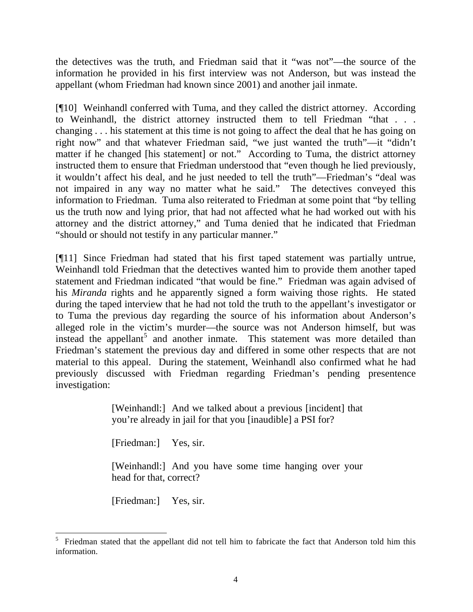the detectives was the truth, and Friedman said that it "was not"—the source of the information he provided in his first interview was not Anderson, but was instead the appellant (whom Friedman had known since 2001) and another jail inmate.

[¶10] Weinhandl conferred with Tuma, and they called the district attorney. According to Weinhandl, the district attorney instructed them to tell Friedman "that . . . changing . . . his statement at this time is not going to affect the deal that he has going on right now" and that whatever Friedman said, "we just wanted the truth"—it "didn't matter if he changed [his statement] or not." According to Tuma, the district attorney instructed them to ensure that Friedman understood that "even though he lied previously, it wouldn't affect his deal, and he just needed to tell the truth"—Friedman's "deal was not impaired in any way no matter what he said." The detectives conveyed this information to Friedman. Tuma also reiterated to Friedman at some point that "by telling us the truth now and lying prior, that had not affected what he had worked out with his attorney and the district attorney," and Tuma denied that he indicated that Friedman "should or should not testify in any particular manner."

[¶11] Since Friedman had stated that his first taped statement was partially untrue, Weinhandl told Friedman that the detectives wanted him to provide them another taped statement and Friedman indicated "that would be fine." Friedman was again advised of his *Miranda* rights and he apparently signed a form waiving those rights. He stated during the taped interview that he had not told the truth to the appellant's investigator or to Tuma the previous day regarding the source of his information about Anderson's alleged role in the victim's murder—the source was not Anderson himself, but was instead the appellant<sup>[5](#page-4-0)</sup> and another inmate. This statement was more detailed than Friedman's statement the previous day and differed in some other respects that are not material to this appeal. During the statement, Weinhandl also confirmed what he had previously discussed with Friedman regarding Friedman's pending presentence investigation:

> [Weinhandl:] And we talked about a previous [incident] that you're already in jail for that you [inaudible] a PSI for?

[Friedman:] Yes, sir.

[Weinhandl:] And you have some time hanging over your head for that, correct?

[Friedman:] Yes, sir.

<span id="page-4-0"></span> 5 Friedman stated that the appellant did not tell him to fabricate the fact that Anderson told him this information.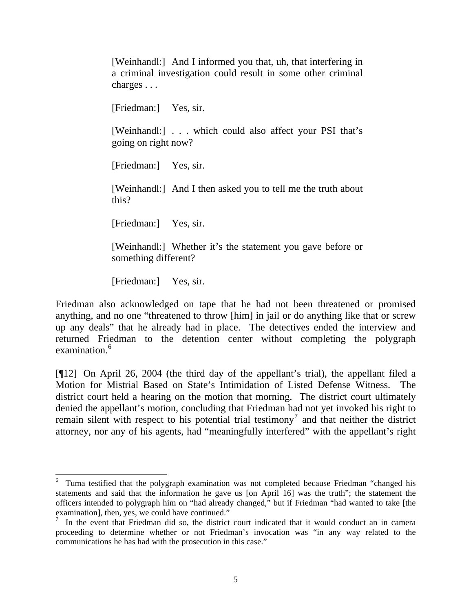a criminal investigation could result in some other criminal charges . . . [Friedman:] Yes, sir. [Weinhandl:] . . . which could also affect your PSI that's going on right now? [Friedman:] Yes, sir. [Weinhandl:] And I then asked you to tell me the truth about this? [Friedman:] Yes, sir. [Weinhandl:] Whether it's the statement you gave before or something different?

[Weinhandl:] And I informed you that, uh, that interfering in

[Friedman:] Yes, sir.

 $\overline{a}$ 

Friedman also acknowledged on tape that he had not been threatened or promised anything, and no one "threatened to throw [him] in jail or do anything like that or screw up any deals" that he already had in place. The detectives ended the interview and returned Friedman to the detention center without completing the polygraph examination.<sup>[6](#page-5-0)</sup>

[¶12] On April 26, 2004 (the third day of the appellant's trial), the appellant filed a Motion for Mistrial Based on State's Intimidation of Listed Defense Witness. The district court held a hearing on the motion that morning. The district court ultimately denied the appellant's motion, concluding that Friedman had not yet invoked his right to remain silent with respect to his potential trial testimony<sup>[7](#page-5-1)</sup> and that neither the district attorney, nor any of his agents, had "meaningfully interfered" with the appellant's right

<span id="page-5-0"></span><sup>&</sup>lt;sup>6</sup> Tuma testified that the polygraph examination was not completed because Friedman "changed his statements and said that the information he gave us [on April 16] was the truth"; the statement the officers intended to polygraph him on "had already changed," but if Friedman "had wanted to take [the examination], then, yes, we could have continued."

<span id="page-5-1"></span><sup>7</sup> In the event that Friedman did so, the district court indicated that it would conduct an in camera proceeding to determine whether or not Friedman's invocation was "in any way related to the communications he has had with the prosecution in this case."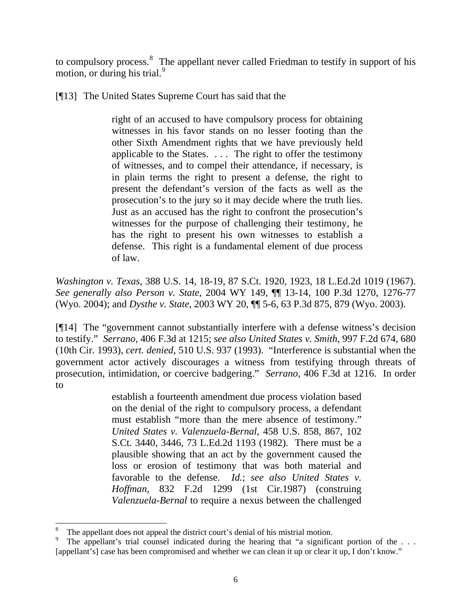to compulsory process. $\delta$  The appellant never called Friedman to testify in support of his motion, or during his trial. $9$ 

[¶13] The United States Supreme Court has said that the

right of an accused to have compulsory process for obtaining witnesses in his favor stands on no lesser footing than the other Sixth Amendment rights that we have previously held applicable to the States. . . . The right to offer the testimony of witnesses, and to compel their attendance, if necessary, is in plain terms the right to present a defense, the right to present the defendant's version of the facts as well as the prosecution's to the jury so it may decide where the truth lies. Just as an accused has the right to confront the prosecution's witnesses for the purpose of challenging their testimony, he has the right to present his own witnesses to establish a defense. This right is a fundamental element of due process of law.

*Washington v. Texas*, 388 U.S. 14, 18-19, 87 S.Ct. 1920, 1923, 18 L.Ed.2d 1019 (1967). *See generally also Person v. State*, 2004 WY 149, ¶¶ 13-14, 100 P.3d 1270, 1276-77 (Wyo. 2004); and *Dysthe v. State*, 2003 WY 20, ¶¶ 5-6, 63 P.3d 875, 879 (Wyo. 2003).

[¶14] The "government cannot substantially interfere with a defense witness's decision to testify." *Serrano*, 406 F.3d at 1215; *see also United States v. Smith*, 997 F.2d 674, 680 (10th Cir. 1993), *cert. denied*, 510 U.S. 937 (1993). "Interference is substantial when the government actor actively discourages a witness from testifying through threats of prosecution, intimidation, or coercive badgering." *Serrano*, 406 F.3d at 1216. In order to

> establish a fourteenth amendment due process violation based on the denial of the right to compulsory process, a defendant must establish "more than the mere absence of testimony." *United States v. Valenzuela-Bernal*, 458 U.S. 858, 867, 102 S.Ct. 3440, 3446, 73 L.Ed.2d 1193 (1982). There must be a plausible showing that an act by the government caused the loss or erosion of testimony that was both material and favorable to the defense. *Id.*; *see also United States v. Hoffman*, 832 F.2d 1299 (1st Cir.1987) (construing *Valenzuela-Bernal* to require a nexus between the challenged

<span id="page-6-0"></span><sup>8</sup> The appellant does not appeal the district court's denial of his mistrial motion.

<span id="page-6-1"></span><sup>9</sup> The appellant's trial counsel indicated during the hearing that "a significant portion of the ... [appellant's] case has been compromised and whether we can clean it up or clear it up, I don't know."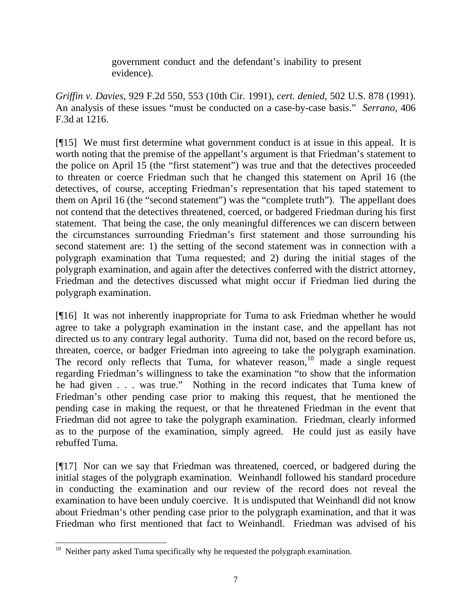government conduct and the defendant's inability to present evidence).

*Griffin v. Davies*, 929 F.2d 550, 553 (10th Cir. 1991), *cert. denied*, 502 U.S. 878 (1991). An analysis of these issues "must be conducted on a case-by-case basis." *Serrano*, 406 F.3d at 1216.

[¶15] We must first determine what government conduct is at issue in this appeal. It is worth noting that the premise of the appellant's argument is that Friedman's statement to the police on April 15 (the "first statement") was true and that the detectives proceeded to threaten or coerce Friedman such that he changed this statement on April 16 (the detectives, of course, accepting Friedman's representation that his taped statement to them on April 16 (the "second statement") was the "complete truth"). The appellant does not contend that the detectives threatened, coerced, or badgered Friedman during his first statement. That being the case, the only meaningful differences we can discern between the circumstances surrounding Friedman's first statement and those surrounding his second statement are: 1) the setting of the second statement was in connection with a polygraph examination that Tuma requested; and 2) during the initial stages of the polygraph examination, and again after the detectives conferred with the district attorney, Friedman and the detectives discussed what might occur if Friedman lied during the polygraph examination.

[¶16] It was not inherently inappropriate for Tuma to ask Friedman whether he would agree to take a polygraph examination in the instant case, and the appellant has not directed us to any contrary legal authority. Tuma did not, based on the record before us, threaten, coerce, or badger Friedman into agreeing to take the polygraph examination. The record only reflects that Tuma, for whatever reason,<sup>[10](#page-7-0)</sup> made a single request regarding Friedman's willingness to take the examination "to show that the information he had given . . . was true." Nothing in the record indicates that Tuma knew of Friedman's other pending case prior to making this request, that he mentioned the pending case in making the request, or that he threatened Friedman in the event that Friedman did not agree to take the polygraph examination. Friedman, clearly informed as to the purpose of the examination, simply agreed. He could just as easily have rebuffed Tuma.

[¶17] Nor can we say that Friedman was threatened, coerced, or badgered during the initial stages of the polygraph examination. Weinhandl followed his standard procedure in conducting the examination and our review of the record does not reveal the examination to have been unduly coercive. It is undisputed that Weinhandl did not know about Friedman's other pending case prior to the polygraph examination, and that it was Friedman who first mentioned that fact to Weinhandl. Friedman was advised of his

<span id="page-7-0"></span> $\overline{a}$  $10$  Neither party asked Tuma specifically why he requested the polygraph examination.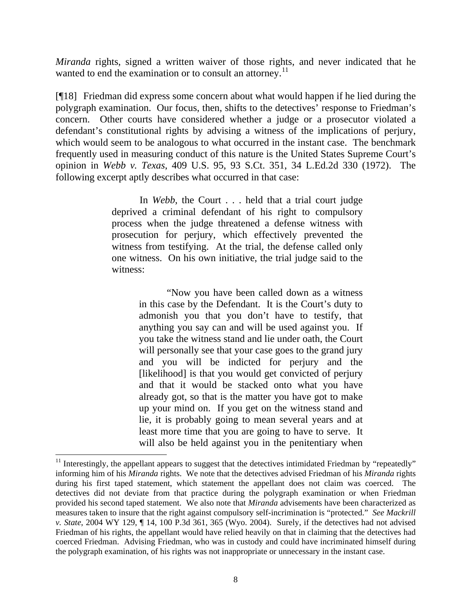*Miranda* rights, signed a written waiver of those rights, and never indicated that he wanted to end the examination or to consult an attorney.<sup>[11](#page-8-0)</sup>

[¶18] Friedman did express some concern about what would happen if he lied during the polygraph examination. Our focus, then, shifts to the detectives' response to Friedman's concern. Other courts have considered whether a judge or a prosecutor violated a defendant's constitutional rights by advising a witness of the implications of perjury, which would seem to be analogous to what occurred in the instant case. The benchmark frequently used in measuring conduct of this nature is the United States Supreme Court's opinion in *Webb v. Texas*, 409 U.S. 95, 93 S.Ct. 351, 34 L.Ed.2d 330 (1972). The following excerpt aptly describes what occurred in that case:

> In *Webb*, the Court . . . held that a trial court judge deprived a criminal defendant of his right to compulsory process when the judge threatened a defense witness with prosecution for perjury, which effectively prevented the witness from testifying. At the trial, the defense called only one witness. On his own initiative, the trial judge said to the witness:

> > "Now you have been called down as a witness in this case by the Defendant. It is the Court's duty to admonish you that you don't have to testify, that anything you say can and will be used against you. If you take the witness stand and lie under oath, the Court will personally see that your case goes to the grand jury and you will be indicted for perjury and the [likelihood] is that you would get convicted of perjury and that it would be stacked onto what you have already got, so that is the matter you have got to make up your mind on. If you get on the witness stand and lie, it is probably going to mean several years and at least more time that you are going to have to serve. It will also be held against you in the penitentiary when

<span id="page-8-0"></span> $11$  Interestingly, the appellant appears to suggest that the detectives intimidated Friedman by "repeatedly" informing him of his *Miranda* rights. We note that the detectives advised Friedman of his *Miranda* rights during his first taped statement, which statement the appellant does not claim was coerced. The detectives did not deviate from that practice during the polygraph examination or when Friedman provided his second taped statement. We also note that *Miranda* advisements have been characterized as measures taken to insure that the right against compulsory self-incrimination is "protected." *See Mackrill v. State*, 2004 WY 129, ¶ 14, 100 P.3d 361, 365 (Wyo. 2004). Surely, if the detectives had not advised Friedman of his rights, the appellant would have relied heavily on that in claiming that the detectives had coerced Friedman. Advising Friedman, who was in custody and could have incriminated himself during the polygraph examination, of his rights was not inappropriate or unnecessary in the instant case.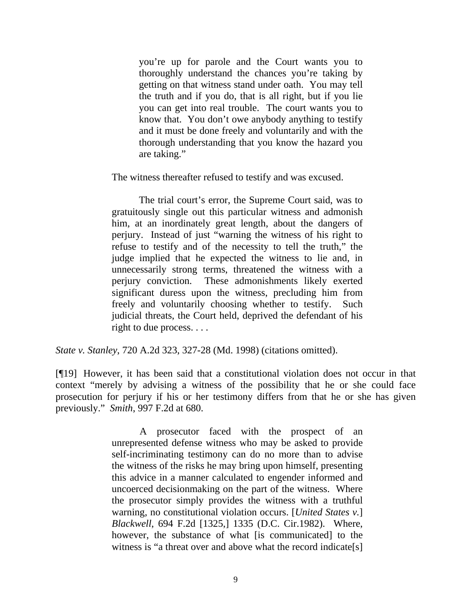you're up for parole and the Court wants you to thoroughly understand the chances you're taking by getting on that witness stand under oath. You may tell the truth and if you do, that is all right, but if you lie you can get into real trouble. The court wants you to know that. You don't owe anybody anything to testify and it must be done freely and voluntarily and with the thorough understanding that you know the hazard you are taking."

The witness thereafter refused to testify and was excused.

 The trial court's error, the Supreme Court said, was to gratuitously single out this particular witness and admonish him, at an inordinately great length, about the dangers of perjury. Instead of just "warning the witness of his right to refuse to testify and of the necessity to tell the truth," the judge implied that he expected the witness to lie and, in unnecessarily strong terms, threatened the witness with a perjury conviction. These admonishments likely exerted significant duress upon the witness, precluding him from freely and voluntarily choosing whether to testify. Such judicial threats, the Court held, deprived the defendant of his right to due process. . . .

*State v. Stanley*, 720 A.2d 323, 327-28 (Md. 1998) (citations omitted).

[¶19] However, it has been said that a constitutional violation does not occur in that context "merely by advising a witness of the possibility that he or she could face prosecution for perjury if his or her testimony differs from that he or she has given previously." *Smith*, 997 F.2d at 680.

> A prosecutor faced with the prospect of an unrepresented defense witness who may be asked to provide self-incriminating testimony can do no more than to advise the witness of the risks he may bring upon himself, presenting this advice in a manner calculated to engender informed and uncoerced decisionmaking on the part of the witness. Where the prosecutor simply provides the witness with a truthful warning, no constitutional violation occurs. [*United States v.*] *Blackwell*, 694 F.2d [1325,] 1335 (D.C. Cir.1982). Where, however, the substance of what [is communicated] to the witness is "a threat over and above what the record indicate[s]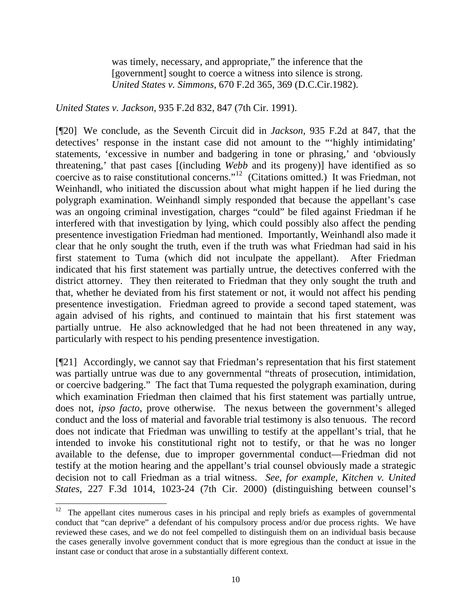was timely, necessary, and appropriate," the inference that the [government] sought to coerce a witness into silence is strong. *United States v. Simmons*, 670 F.2d 365, 369 (D.C.Cir.1982).

*United States v. Jackson*, 935 F.2d 832, 847 (7th Cir. 1991).

[¶20] We conclude, as the Seventh Circuit did in *Jackson*, 935 F.2d at 847, that the detectives' response in the instant case did not amount to the "'highly intimidating' statements, 'excessive in number and badgering in tone or phrasing,' and 'obviously threatening,' that past cases [(including *Webb* and its progeny)] have identified as so coercive as to raise constitutional concerns."[12](#page-10-0) (Citations omitted.) It was Friedman, not Weinhandl, who initiated the discussion about what might happen if he lied during the polygraph examination. Weinhandl simply responded that because the appellant's case was an ongoing criminal investigation, charges "could" be filed against Friedman if he interfered with that investigation by lying, which could possibly also affect the pending presentence investigation Friedman had mentioned. Importantly, Weinhandl also made it clear that he only sought the truth, even if the truth was what Friedman had said in his first statement to Tuma (which did not inculpate the appellant). After Friedman indicated that his first statement was partially untrue, the detectives conferred with the district attorney. They then reiterated to Friedman that they only sought the truth and that, whether he deviated from his first statement or not, it would not affect his pending presentence investigation. Friedman agreed to provide a second taped statement, was again advised of his rights, and continued to maintain that his first statement was partially untrue. He also acknowledged that he had not been threatened in any way, particularly with respect to his pending presentence investigation.

[¶21] Accordingly, we cannot say that Friedman's representation that his first statement was partially untrue was due to any governmental "threats of prosecution, intimidation, or coercive badgering." The fact that Tuma requested the polygraph examination, during which examination Friedman then claimed that his first statement was partially untrue, does not, *ipso facto*, prove otherwise. The nexus between the government's alleged conduct and the loss of material and favorable trial testimony is also tenuous. The record does not indicate that Friedman was unwilling to testify at the appellant's trial, that he intended to invoke his constitutional right not to testify, or that he was no longer available to the defense, due to improper governmental conduct—Friedman did not testify at the motion hearing and the appellant's trial counsel obviously made a strategic decision not to call Friedman as a trial witness. *See, for example, Kitchen v. United States*, 227 F.3d 1014, 1023-24 (7th Cir. 2000) (distinguishing between counsel's

<span id="page-10-0"></span><sup>&</sup>lt;sup>12</sup> The appellant cites numerous cases in his principal and reply briefs as examples of governmental conduct that "can deprive" a defendant of his compulsory process and/or due process rights. We have reviewed these cases, and we do not feel compelled to distinguish them on an individual basis because the cases generally involve government conduct that is more egregious than the conduct at issue in the instant case or conduct that arose in a substantially different context.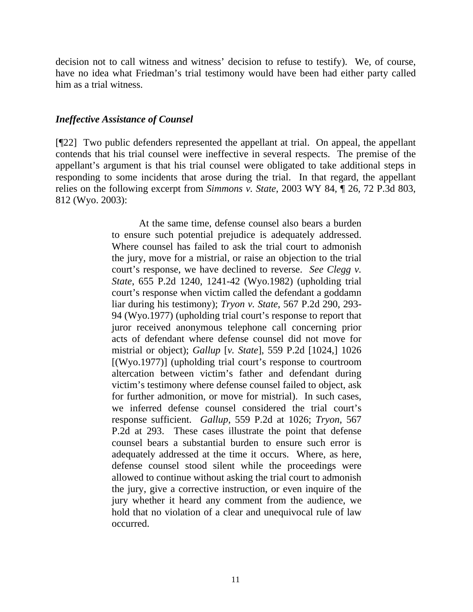decision not to call witness and witness' decision to refuse to testify). We, of course, have no idea what Friedman's trial testimony would have been had either party called him as a trial witness.

## *Ineffective Assistance of Counsel*

[¶22] Two public defenders represented the appellant at trial. On appeal, the appellant contends that his trial counsel were ineffective in several respects. The premise of the appellant's argument is that his trial counsel were obligated to take additional steps in responding to some incidents that arose during the trial. In that regard, the appellant relies on the following excerpt from *Simmons v. State*, 2003 WY 84, ¶ 26, 72 P.3d 803, 812 (Wyo. 2003):

> At the same time, defense counsel also bears a burden to ensure such potential prejudice is adequately addressed. Where counsel has failed to ask the trial court to admonish the jury, move for a mistrial, or raise an objection to the trial court's response, we have declined to reverse. *See Clegg v. State*, 655 P.2d 1240, 1241-42 (Wyo.1982) (upholding trial court's response when victim called the defendant a goddamn liar during his testimony); *Tryon v. State*, 567 P.2d 290, 293- 94 (Wyo.1977) (upholding trial court's response to report that juror received anonymous telephone call concerning prior acts of defendant where defense counsel did not move for mistrial or object); *Gallup* [*v. State*], 559 P.2d [1024,] 1026 [(Wyo.1977)] (upholding trial court's response to courtroom altercation between victim's father and defendant during victim's testimony where defense counsel failed to object, ask for further admonition, or move for mistrial). In such cases, we inferred defense counsel considered the trial court's response sufficient. *Gallup*, 559 P.2d at 1026; *Tryon*, 567 P.2d at 293. These cases illustrate the point that defense counsel bears a substantial burden to ensure such error is adequately addressed at the time it occurs. Where, as here, defense counsel stood silent while the proceedings were allowed to continue without asking the trial court to admonish the jury, give a corrective instruction, or even inquire of the jury whether it heard any comment from the audience, we hold that no violation of a clear and unequivocal rule of law occurred.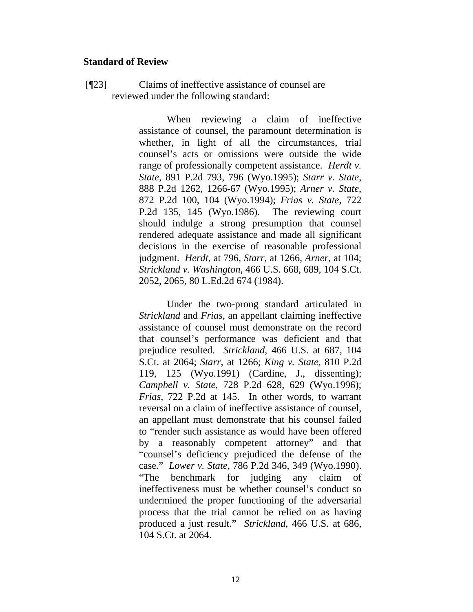## **Standard of Review**

[¶23] Claims of ineffective assistance of counsel are reviewed under the following standard:

> When reviewing a claim of ineffective assistance of counsel, the paramount determination is whether, in light of all the circumstances, trial counsel's acts or omissions were outside the wide range of professionally competent assistance. *Herdt v. State*, 891 P.2d 793, 796 (Wyo.1995); *Starr v. State*, 888 P.2d 1262, 1266-67 (Wyo.1995); *Arner v. State*, 872 P.2d 100, 104 (Wyo.1994); *Frias v. State*, 722 P.2d 135, 145 (Wyo.1986). The reviewing court should indulge a strong presumption that counsel rendered adequate assistance and made all significant decisions in the exercise of reasonable professional judgment. *Herdt*, at 796, *Starr*, at 1266, *Arner*, at 104; *Strickland v. Washington*, 466 U.S. 668, 689, 104 S.Ct. 2052, 2065, 80 L.Ed.2d 674 (1984).

> Under the two-prong standard articulated in *Strickland* and *Frias*, an appellant claiming ineffective assistance of counsel must demonstrate on the record that counsel's performance was deficient and that prejudice resulted. *Strickland*, 466 U.S. at 687, 104 S.Ct. at 2064; *Starr*, at 1266; *King v. State*, 810 P.2d 119, 125 (Wyo.1991) (Cardine, J., dissenting); *Campbell v. State*, 728 P.2d 628, 629 (Wyo.1996); *Frias*, 722 P.2d at 145. In other words, to warrant reversal on a claim of ineffective assistance of counsel, an appellant must demonstrate that his counsel failed to "render such assistance as would have been offered by a reasonably competent attorney" and that "counsel's deficiency prejudiced the defense of the case." *Lower v. State*, 786 P.2d 346, 349 (Wyo.1990). "The benchmark for judging any claim of ineffectiveness must be whether counsel's conduct so undermined the proper functioning of the adversarial process that the trial cannot be relied on as having produced a just result." *Strickland*, 466 U.S. at 686, 104 S.Ct. at 2064.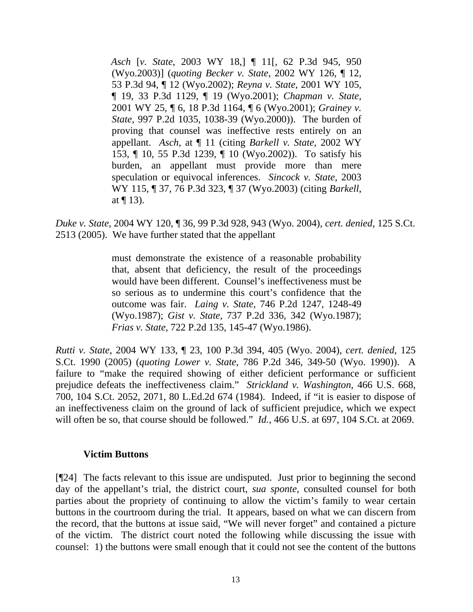*Asch* [*v. State*, 2003 WY 18,] ¶ 11[, 62 P.3d 945, 950 (Wyo.2003)] (*quoting Becker v. State*, 2002 WY 126, ¶ 12, 53 P.3d 94, ¶ 12 (Wyo.2002); *Reyna v. State*, 2001 WY 105, ¶ 19, 33 P.3d 1129, ¶ 19 (Wyo.2001); *Chapman v. State*, 2001 WY 25, ¶ 6, 18 P.3d 1164, ¶ 6 (Wyo.2001); *Grainey v. State*, 997 P.2d 1035, 1038-39 (Wyo.2000)). The burden of proving that counsel was ineffective rests entirely on an appellant. *Asch,* at ¶ 11 (citing *Barkell v. State*, 2002 WY 153, ¶ 10, 55 P.3d 1239, ¶ 10 (Wyo.2002)). To satisfy his burden, an appellant must provide more than mere speculation or equivocal inferences. *Sincock v. State*, 2003 WY 115, ¶ 37, 76 P.3d 323, ¶ 37 (Wyo.2003) (citing *Barkell*, at  $\P$  13).

*Duke v. State*, 2004 WY 120, ¶ 36, 99 P.3d 928, 943 (Wyo. 2004), *cert. denied*, 125 S.Ct. 2513 (2005). We have further stated that the appellant

> must demonstrate the existence of a reasonable probability that, absent that deficiency, the result of the proceedings would have been different. Counsel's ineffectiveness must be so serious as to undermine this court's confidence that the outcome was fair. *Laing v. State*, 746 P.2d 1247, 1248-49 (Wyo.1987); *Gist v. State*, 737 P.2d 336, 342 (Wyo.1987); *Frias v. State*, 722 P.2d 135, 145-47 (Wyo.1986).

*Rutti v. State*, 2004 WY 133, ¶ 23, 100 P.3d 394, 405 (Wyo. 2004), *cert. denied*, 125 S.Ct. 1990 (2005) (*quoting Lower v. State*, 786 P.2d 346, 349-50 (Wyo. 1990)). A failure to "make the required showing of either deficient performance or sufficient prejudice defeats the ineffectiveness claim." *Strickland v. Washington*, 466 U.S. 668, 700, 104 S.Ct. 2052, 2071, 80 L.Ed.2d 674 (1984). Indeed, if "it is easier to dispose of an ineffectiveness claim on the ground of lack of sufficient prejudice, which we expect will often be so, that course should be followed." *Id.*, 466 U.S. at 697, 104 S.Ct. at 2069.

## **Victim Buttons**

[¶24] The facts relevant to this issue are undisputed. Just prior to beginning the second day of the appellant's trial, the district court, *sua sponte*, consulted counsel for both parties about the propriety of continuing to allow the victim's family to wear certain buttons in the courtroom during the trial. It appears, based on what we can discern from the record, that the buttons at issue said, "We will never forget" and contained a picture of the victim. The district court noted the following while discussing the issue with counsel: 1) the buttons were small enough that it could not see the content of the buttons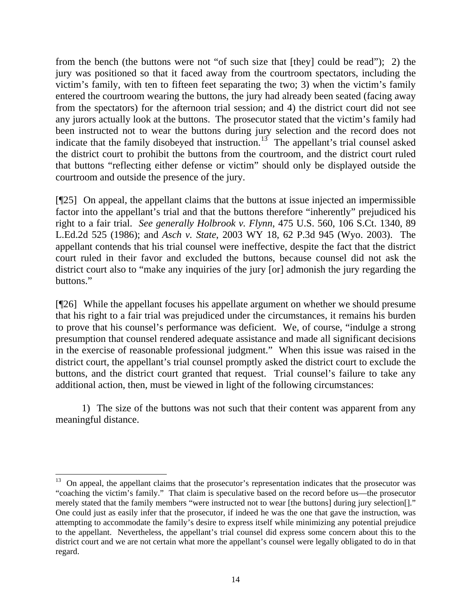from the bench (the buttons were not "of such size that [they] could be read"); 2) the jury was positioned so that it faced away from the courtroom spectators, including the victim's family, with ten to fifteen feet separating the two; 3) when the victim's family entered the courtroom wearing the buttons, the jury had already been seated (facing away from the spectators) for the afternoon trial session; and 4) the district court did not see any jurors actually look at the buttons. The prosecutor stated that the victim's family had been instructed not to wear the buttons during jury selection and the record does not indicate that the family disobeyed that instruction.<sup>[13](#page-14-0)</sup> The appellant's trial counsel asked the district court to prohibit the buttons from the courtroom, and the district court ruled that buttons "reflecting either defense or victim" should only be displayed outside the courtroom and outside the presence of the jury.

[¶25] On appeal, the appellant claims that the buttons at issue injected an impermissible factor into the appellant's trial and that the buttons therefore "inherently" prejudiced his right to a fair trial. *See generally Holbrook v. Flynn*, 475 U.S. 560, 106 S.Ct. 1340, 89 L.Ed.2d 525 (1986); and *Asch v. State*, 2003 WY 18, 62 P.3d 945 (Wyo. 2003). The appellant contends that his trial counsel were ineffective, despite the fact that the district court ruled in their favor and excluded the buttons, because counsel did not ask the district court also to "make any inquiries of the jury [or] admonish the jury regarding the buttons."

[¶26] While the appellant focuses his appellate argument on whether we should presume that his right to a fair trial was prejudiced under the circumstances, it remains his burden to prove that his counsel's performance was deficient. We, of course, "indulge a strong presumption that counsel rendered adequate assistance and made all significant decisions in the exercise of reasonable professional judgment." When this issue was raised in the district court, the appellant's trial counsel promptly asked the district court to exclude the buttons, and the district court granted that request. Trial counsel's failure to take any additional action, then, must be viewed in light of the following circumstances:

 1) The size of the buttons was not such that their content was apparent from any meaningful distance.

 $\overline{a}$ 

<span id="page-14-0"></span><sup>&</sup>lt;sup>13</sup> On appeal, the appellant claims that the prosecutor's representation indicates that the prosecutor was "coaching the victim's family." That claim is speculative based on the record before us—the prosecutor merely stated that the family members "were instructed not to wear [the buttons] during jury selection[]." One could just as easily infer that the prosecutor, if indeed he was the one that gave the instruction, was attempting to accommodate the family's desire to express itself while minimizing any potential prejudice to the appellant. Nevertheless, the appellant's trial counsel did express some concern about this to the district court and we are not certain what more the appellant's counsel were legally obligated to do in that regard.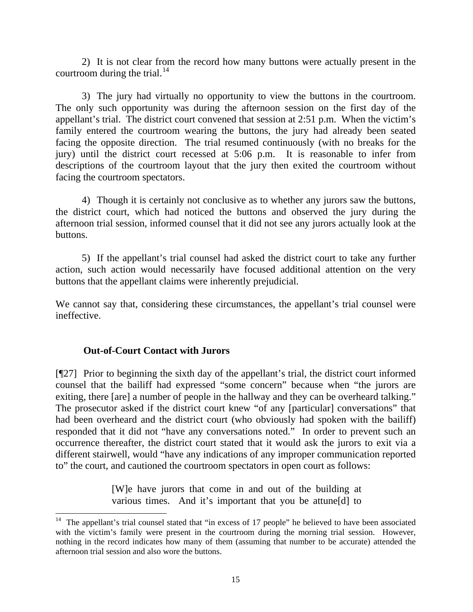2) It is not clear from the record how many buttons were actually present in the courtroom during the trial. $^{14}$  $^{14}$  $^{14}$ 

 3) The jury had virtually no opportunity to view the buttons in the courtroom. The only such opportunity was during the afternoon session on the first day of the appellant's trial. The district court convened that session at 2:51 p.m. When the victim's family entered the courtroom wearing the buttons, the jury had already been seated facing the opposite direction. The trial resumed continuously (with no breaks for the jury) until the district court recessed at 5:06 p.m. It is reasonable to infer from descriptions of the courtroom layout that the jury then exited the courtroom without facing the courtroom spectators.

 4) Though it is certainly not conclusive as to whether any jurors saw the buttons, the district court, which had noticed the buttons and observed the jury during the afternoon trial session, informed counsel that it did not see any jurors actually look at the buttons.

 5) If the appellant's trial counsel had asked the district court to take any further action, such action would necessarily have focused additional attention on the very buttons that the appellant claims were inherently prejudicial.

We cannot say that, considering these circumstances, the appellant's trial counsel were ineffective.

# **Out-of-Court Contact with Jurors**

 $\overline{a}$ 

[¶27] Prior to beginning the sixth day of the appellant's trial, the district court informed counsel that the bailiff had expressed "some concern" because when "the jurors are exiting, there [are] a number of people in the hallway and they can be overheard talking." The prosecutor asked if the district court knew "of any [particular] conversations" that had been overheard and the district court (who obviously had spoken with the bailiff) responded that it did not "have any conversations noted." In order to prevent such an occurrence thereafter, the district court stated that it would ask the jurors to exit via a different stairwell, would "have any indications of any improper communication reported to" the court, and cautioned the courtroom spectators in open court as follows:

> [W]e have jurors that come in and out of the building at various times. And it's important that you be attune[d] to

<span id="page-15-0"></span> $14$  The appellant's trial counsel stated that "in excess of 17 people" he believed to have been associated with the victim's family were present in the courtroom during the morning trial session. However, nothing in the record indicates how many of them (assuming that number to be accurate) attended the afternoon trial session and also wore the buttons.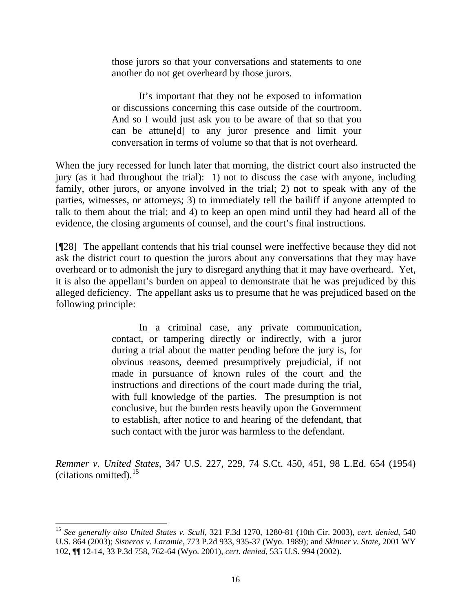those jurors so that your conversations and statements to one another do not get overheard by those jurors.

 It's important that they not be exposed to information or discussions concerning this case outside of the courtroom. And so I would just ask you to be aware of that so that you can be attune[d] to any juror presence and limit your conversation in terms of volume so that that is not overheard.

When the jury recessed for lunch later that morning, the district court also instructed the jury (as it had throughout the trial): 1) not to discuss the case with anyone, including family, other jurors, or anyone involved in the trial; 2) not to speak with any of the parties, witnesses, or attorneys; 3) to immediately tell the bailiff if anyone attempted to talk to them about the trial; and 4) to keep an open mind until they had heard all of the evidence, the closing arguments of counsel, and the court's final instructions.

[¶28] The appellant contends that his trial counsel were ineffective because they did not ask the district court to question the jurors about any conversations that they may have overheard or to admonish the jury to disregard anything that it may have overheard. Yet, it is also the appellant's burden on appeal to demonstrate that he was prejudiced by this alleged deficiency. The appellant asks us to presume that he was prejudiced based on the following principle:

> In a criminal case, any private communication, contact, or tampering directly or indirectly, with a juror during a trial about the matter pending before the jury is, for obvious reasons, deemed presumptively prejudicial, if not made in pursuance of known rules of the court and the instructions and directions of the court made during the trial, with full knowledge of the parties. The presumption is not conclusive, but the burden rests heavily upon the Government to establish, after notice to and hearing of the defendant, that such contact with the juror was harmless to the defendant.

*Remmer v. United States*, 347 U.S. 227, 229, 74 S.Ct. 450, 451, 98 L.Ed. 654 (1954) (citations omitted). $15$ 

<span id="page-16-0"></span><sup>15</sup> *See generally also United States v. Scull*, 321 F.3d 1270, 1280-81 (10th Cir. 2003), *cert. denied*, 540 U.S. 864 (2003); *Sisneros v. Laramie*, 773 P.2d 933, 935-37 (Wyo. 1989); and *Skinner v. State*, 2001 WY 102, ¶¶ 12-14, 33 P.3d 758, 762-64 (Wyo. 2001), *cert. denied*, 535 U.S. 994 (2002).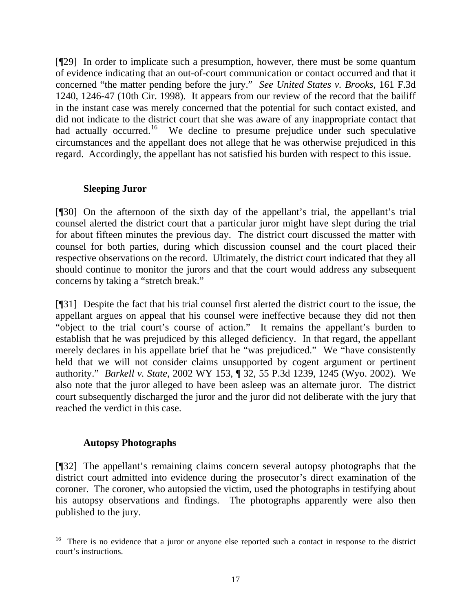[¶29] In order to implicate such a presumption, however, there must be some quantum of evidence indicating that an out-of-court communication or contact occurred and that it concerned "the matter pending before the jury." *See United States v. Brooks*, 161 F.3d 1240, 1246-47 (10th Cir. 1998). It appears from our review of the record that the bailiff in the instant case was merely concerned that the potential for such contact existed, and did not indicate to the district court that she was aware of any inappropriate contact that had actually occurred.<sup>[16](#page-17-0)</sup> We decline to presume prejudice under such speculative circumstances and the appellant does not allege that he was otherwise prejudiced in this regard. Accordingly, the appellant has not satisfied his burden with respect to this issue.

# **Sleeping Juror**

[¶30] On the afternoon of the sixth day of the appellant's trial, the appellant's trial counsel alerted the district court that a particular juror might have slept during the trial for about fifteen minutes the previous day. The district court discussed the matter with counsel for both parties, during which discussion counsel and the court placed their respective observations on the record. Ultimately, the district court indicated that they all should continue to monitor the jurors and that the court would address any subsequent concerns by taking a "stretch break."

[¶31] Despite the fact that his trial counsel first alerted the district court to the issue, the appellant argues on appeal that his counsel were ineffective because they did not then "object to the trial court's course of action." It remains the appellant's burden to establish that he was prejudiced by this alleged deficiency. In that regard, the appellant merely declares in his appellate brief that he "was prejudiced." We "have consistently held that we will not consider claims unsupported by cogent argument or pertinent authority." *Barkell v. State*, 2002 WY 153, ¶ 32, 55 P.3d 1239, 1245 (Wyo. 2002). We also note that the juror alleged to have been asleep was an alternate juror. The district court subsequently discharged the juror and the juror did not deliberate with the jury that reached the verdict in this case.

# **Autopsy Photographs**

l

[¶32] The appellant's remaining claims concern several autopsy photographs that the district court admitted into evidence during the prosecutor's direct examination of the coroner. The coroner, who autopsied the victim, used the photographs in testifying about his autopsy observations and findings. The photographs apparently were also then published to the jury.

<span id="page-17-0"></span><sup>16</sup> There is no evidence that a juror or anyone else reported such a contact in response to the district court's instructions.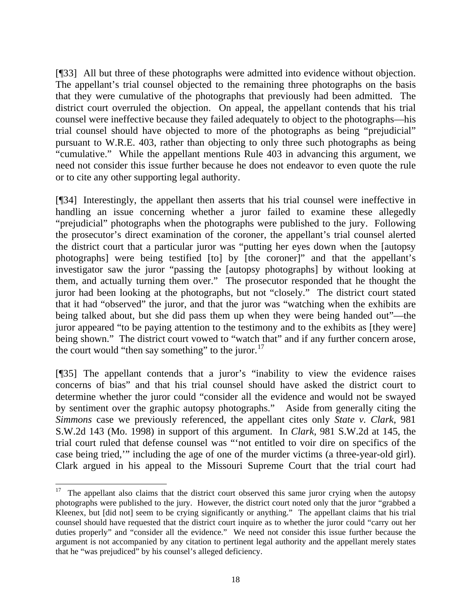[¶33] All but three of these photographs were admitted into evidence without objection. The appellant's trial counsel objected to the remaining three photographs on the basis that they were cumulative of the photographs that previously had been admitted. The district court overruled the objection. On appeal, the appellant contends that his trial counsel were ineffective because they failed adequately to object to the photographs—his trial counsel should have objected to more of the photographs as being "prejudicial" pursuant to W.R.E. 403, rather than objecting to only three such photographs as being "cumulative." While the appellant mentions Rule 403 in advancing this argument, we need not consider this issue further because he does not endeavor to even quote the rule or to cite any other supporting legal authority.

[¶34] Interestingly, the appellant then asserts that his trial counsel were ineffective in handling an issue concerning whether a juror failed to examine these allegedly "prejudicial" photographs when the photographs were published to the jury. Following the prosecutor's direct examination of the coroner, the appellant's trial counsel alerted the district court that a particular juror was "putting her eyes down when the [autopsy photographs] were being testified [to] by [the coroner]" and that the appellant's investigator saw the juror "passing the [autopsy photographs] by without looking at them, and actually turning them over." The prosecutor responded that he thought the juror had been looking at the photographs, but not "closely." The district court stated that it had "observed" the juror, and that the juror was "watching when the exhibits are being talked about, but she did pass them up when they were being handed out"—the juror appeared "to be paying attention to the testimony and to the exhibits as [they were] being shown." The district court vowed to "watch that" and if any further concern arose, the court would "then say something" to the juror. $17$ 

[¶35] The appellant contends that a juror's "inability to view the evidence raises concerns of bias" and that his trial counsel should have asked the district court to determine whether the juror could "consider all the evidence and would not be swayed by sentiment over the graphic autopsy photographs." Aside from generally citing the *Simmons* case we previously referenced, the appellant cites only *State v. Clark*, 981 S.W.2d 143 (Mo. 1998) in support of this argument. In *Clark*, 981 S.W.2d at 145, the trial court ruled that defense counsel was "'not entitled to voir dire on specifics of the case being tried,'" including the age of one of the murder victims (a three-year-old girl). Clark argued in his appeal to the Missouri Supreme Court that the trial court had

<span id="page-18-0"></span> $17$  The appellant also claims that the district court observed this same juror crying when the autopsy photographs were published to the jury. However, the district court noted only that the juror "grabbed a Kleenex, but [did not] seem to be crying significantly or anything." The appellant claims that his trial counsel should have requested that the district court inquire as to whether the juror could "carry out her duties properly" and "consider all the evidence." We need not consider this issue further because the argument is not accompanied by any citation to pertinent legal authority and the appellant merely states that he "was prejudiced" by his counsel's alleged deficiency.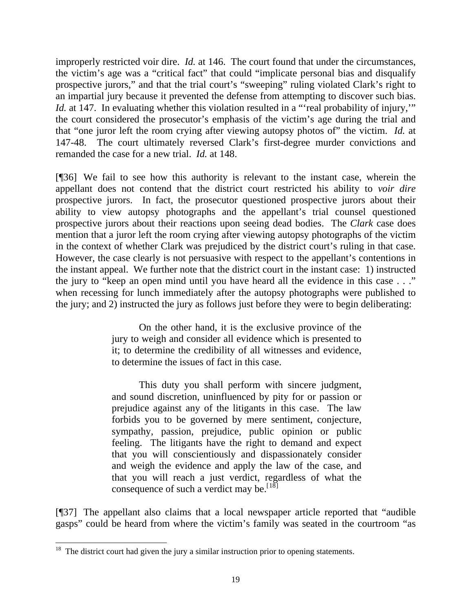improperly restricted voir dire. *Id.* at 146. The court found that under the circumstances, the victim's age was a "critical fact" that could "implicate personal bias and disqualify prospective jurors," and that the trial court's "sweeping" ruling violated Clark's right to an impartial jury because it prevented the defense from attempting to discover such bias. *Id.* at 147. In evaluating whether this violation resulted in a "real probability of injury," the court considered the prosecutor's emphasis of the victim's age during the trial and that "one juror left the room crying after viewing autopsy photos of" the victim. *Id.* at 147-48. The court ultimately reversed Clark's first-degree murder convictions and remanded the case for a new trial. *Id.* at 148.

[¶36] We fail to see how this authority is relevant to the instant case, wherein the appellant does not contend that the district court restricted his ability to *voir dire* prospective jurors. In fact, the prosecutor questioned prospective jurors about their ability to view autopsy photographs and the appellant's trial counsel questioned prospective jurors about their reactions upon seeing dead bodies. The *Clark* case does mention that a juror left the room crying after viewing autopsy photographs of the victim in the context of whether Clark was prejudiced by the district court's ruling in that case. However, the case clearly is not persuasive with respect to the appellant's contentions in the instant appeal. We further note that the district court in the instant case: 1) instructed the jury to "keep an open mind until you have heard all the evidence in this case . . ." when recessing for lunch immediately after the autopsy photographs were published to the jury; and 2) instructed the jury as follows just before they were to begin deliberating:

> On the other hand, it is the exclusive province of the jury to weigh and consider all evidence which is presented to it; to determine the credibility of all witnesses and evidence, to determine the issues of fact in this case.

> This duty you shall perform with sincere judgment, and sound discretion, uninfluenced by pity for or passion or prejudice against any of the litigants in this case. The law forbids you to be governed by mere sentiment, conjecture, sympathy, passion, prejudice, public opinion or public feeling. The litigants have the right to demand and expect that you will conscientiously and dispassionately consider and weigh the evidence and apply the law of the case, and that you will reach a just verdict, regardless of what the consequence of such a verdict may be.  $[18]$

[¶37] The appellant also claims that a local newspaper article reported that "audible gasps" could be heard from where the victim's family was seated in the courtroom "as

 $\overline{a}$ 

<span id="page-19-0"></span> $18$  The district court had given the jury a similar instruction prior to opening statements.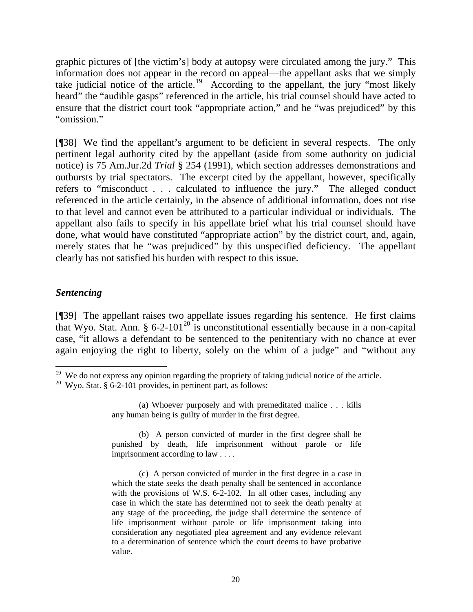graphic pictures of [the victim's] body at autopsy were circulated among the jury." This information does not appear in the record on appeal—the appellant asks that we simply take judicial notice of the article.<sup>[19](#page-20-0)</sup> According to the appellant, the jury "most likely heard" the "audible gasps" referenced in the article, his trial counsel should have acted to ensure that the district court took "appropriate action," and he "was prejudiced" by this "omission."

[¶38] We find the appellant's argument to be deficient in several respects. The only pertinent legal authority cited by the appellant (aside from some authority on judicial notice) is 75 Am.Jur.2d *Trial* § 254 (1991), which section addresses demonstrations and outbursts by trial spectators. The excerpt cited by the appellant, however, specifically refers to "misconduct . . . calculated to influence the jury." The alleged conduct referenced in the article certainly, in the absence of additional information, does not rise to that level and cannot even be attributed to a particular individual or individuals. The appellant also fails to specify in his appellate brief what his trial counsel should have done, what would have constituted "appropriate action" by the district court, and, again, merely states that he "was prejudiced" by this unspecified deficiency. The appellant clearly has not satisfied his burden with respect to this issue.

## *Sentencing*

[¶39] The appellant raises two appellate issues regarding his sentence. He first claims that Wyo. Stat. Ann.  $\S 6{\text -}2{\text -}101^{20}$  $\S 6{\text -}2{\text -}101^{20}$  $\S 6{\text -}2{\text -}101^{20}$  is unconstitutional essentially because in a non-capital case, "it allows a defendant to be sentenced to the penitentiary with no chance at ever again enjoying the right to liberty, solely on the whim of a judge" and "without any

 $\overline{a}$  $19$  We do not express any opinion regarding the propriety of taking judicial notice of the article.

<span id="page-20-1"></span><span id="page-20-0"></span><sup>&</sup>lt;sup>20</sup> Wyo. Stat. § 6-2-101 provides, in pertinent part, as follows:

 <sup>(</sup>a) Whoever purposely and with premeditated malice . . . kills any human being is guilty of murder in the first degree.

 <sup>(</sup>b) A person convicted of murder in the first degree shall be punished by death, life imprisonment without parole or life imprisonment according to law . . . .

 <sup>(</sup>c) A person convicted of murder in the first degree in a case in which the state seeks the death penalty shall be sentenced in accordance with the provisions of W.S. 6-2-102. In all other cases, including any case in which the state has determined not to seek the death penalty at any stage of the proceeding, the judge shall determine the sentence of life imprisonment without parole or life imprisonment taking into consideration any negotiated plea agreement and any evidence relevant to a determination of sentence which the court deems to have probative value.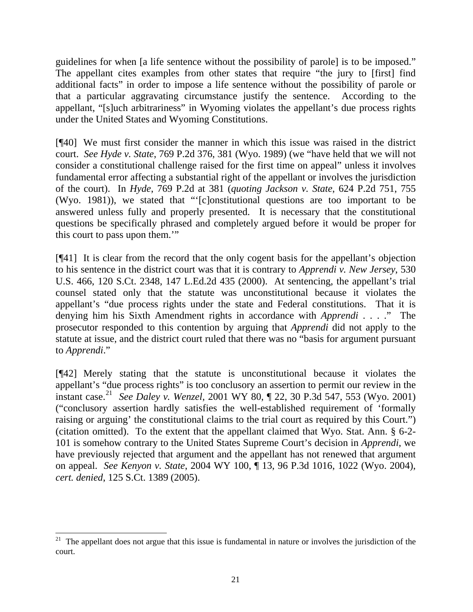guidelines for when [a life sentence without the possibility of parole] is to be imposed." The appellant cites examples from other states that require "the jury to [first] find additional facts" in order to impose a life sentence without the possibility of parole or that a particular aggravating circumstance justify the sentence. According to the appellant, "[s]uch arbitrariness" in Wyoming violates the appellant's due process rights under the United States and Wyoming Constitutions.

[¶40] We must first consider the manner in which this issue was raised in the district court. *See Hyde v. State*, 769 P.2d 376, 381 (Wyo. 1989) (we "have held that we will not consider a constitutional challenge raised for the first time on appeal" unless it involves fundamental error affecting a substantial right of the appellant or involves the jurisdiction of the court). In *Hyde*, 769 P.2d at 381 (*quoting Jackson v. State*, 624 P.2d 751, 755 (Wyo. 1981)), we stated that "'[c]onstitutional questions are too important to be answered unless fully and properly presented. It is necessary that the constitutional questions be specifically phrased and completely argued before it would be proper for this court to pass upon them.'"

[¶41] It is clear from the record that the only cogent basis for the appellant's objection to his sentence in the district court was that it is contrary to *Apprendi v. New Jersey*, 530 U.S. 466, 120 S.Ct. 2348, 147 L.Ed.2d 435 (2000). At sentencing, the appellant's trial counsel stated only that the statute was unconstitutional because it violates the appellant's "due process rights under the state and Federal constitutions. That it is denying him his Sixth Amendment rights in accordance with *Apprendi* . . . ." The prosecutor responded to this contention by arguing that *Apprendi* did not apply to the statute at issue, and the district court ruled that there was no "basis for argument pursuant to *Apprendi*."

[¶42] Merely stating that the statute is unconstitutional because it violates the appellant's "due process rights" is too conclusory an assertion to permit our review in the instant case.[21](#page-21-0) *See Daley v. Wenzel*, 2001 WY 80, ¶ 22, 30 P.3d 547, 553 (Wyo. 2001) ("conclusory assertion hardly satisfies the well-established requirement of 'formally raising or arguing' the constitutional claims to the trial court as required by this Court.") (citation omitted). To the extent that the appellant claimed that Wyo. Stat. Ann. § 6-2- 101 is somehow contrary to the United States Supreme Court's decision in *Apprendi*, we have previously rejected that argument and the appellant has not renewed that argument on appeal. *See Kenyon v. State*, 2004 WY 100, ¶ 13, 96 P.3d 1016, 1022 (Wyo. 2004), *cert. denied*, 125 S.Ct. 1389 (2005).

<span id="page-21-0"></span> $21$  The appellant does not argue that this issue is fundamental in nature or involves the jurisdiction of the court.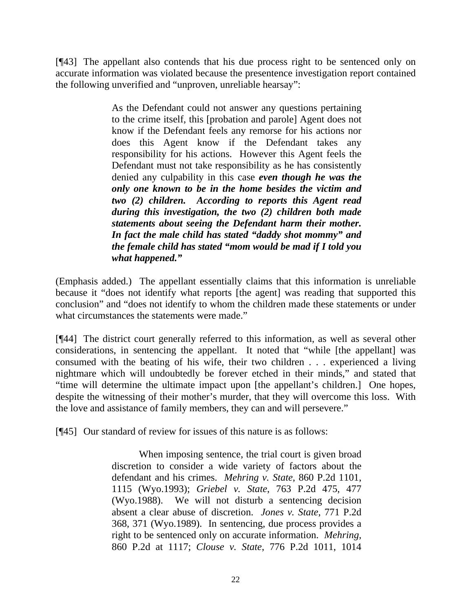[¶43] The appellant also contends that his due process right to be sentenced only on accurate information was violated because the presentence investigation report contained the following unverified and "unproven, unreliable hearsay":

> As the Defendant could not answer any questions pertaining to the crime itself, this [probation and parole] Agent does not know if the Defendant feels any remorse for his actions nor does this Agent know if the Defendant takes any responsibility for his actions. However this Agent feels the Defendant must not take responsibility as he has consistently denied any culpability in this case *even though he was the only one known to be in the home besides the victim and two (2) children. According to reports this Agent read during this investigation, the two (2) children both made statements about seeing the Defendant harm their mother. In fact the male child has stated "daddy shot mommy" and the female child has stated "mom would be mad if I told you what happened."*

(Emphasis added.) The appellant essentially claims that this information is unreliable because it "does not identify what reports [the agent] was reading that supported this conclusion" and "does not identify to whom the children made these statements or under what circumstances the statements were made."

[¶44] The district court generally referred to this information, as well as several other considerations, in sentencing the appellant. It noted that "while [the appellant] was consumed with the beating of his wife, their two children . . . experienced a living nightmare which will undoubtedly be forever etched in their minds," and stated that "time will determine the ultimate impact upon [the appellant's children.] One hopes, despite the witnessing of their mother's murder, that they will overcome this loss. With the love and assistance of family members, they can and will persevere."

[¶45] Our standard of review for issues of this nature is as follows:

 When imposing sentence, the trial court is given broad discretion to consider a wide variety of factors about the defendant and his crimes. *Mehring v. State*, 860 P.2d 1101, 1115 (Wyo.1993); *Griebel v. State*, 763 P.2d 475, 477 (Wyo.1988). We will not disturb a sentencing decision absent a clear abuse of discretion. *Jones v. State*, 771 P.2d 368, 371 (Wyo.1989). In sentencing, due process provides a right to be sentenced only on accurate information. *Mehring*, 860 P.2d at 1117; *Clouse v. State*, 776 P.2d 1011, 1014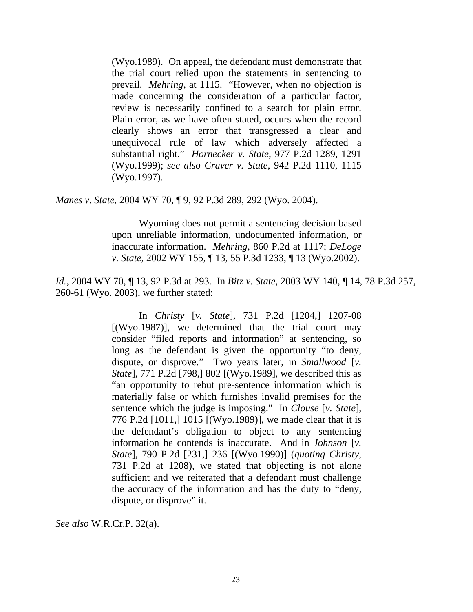(Wyo.1989). On appeal, the defendant must demonstrate that the trial court relied upon the statements in sentencing to prevail. *Mehring*, at 1115. "However, when no objection is made concerning the consideration of a particular factor, review is necessarily confined to a search for plain error. Plain error, as we have often stated, occurs when the record clearly shows an error that transgressed a clear and unequivocal rule of law which adversely affected a substantial right." *Hornecker v. State*, 977 P.2d 1289, 1291 (Wyo.1999); *see also Craver v. State*, 942 P.2d 1110, 1115 (Wyo.1997).

*Manes v. State*, 2004 WY 70, ¶ 9, 92 P.3d 289, 292 (Wyo. 2004).

 Wyoming does not permit a sentencing decision based upon unreliable information, undocumented information, or inaccurate information. *Mehring*, 860 P.2d at 1117; *DeLoge v. State*, 2002 WY 155, ¶ 13, 55 P.3d 1233, ¶ 13 (Wyo.2002).

*Id.*, 2004 WY 70, ¶ 13, 92 P.3d at 293. In *Bitz v. State*, 2003 WY 140, ¶ 14, 78 P.3d 257, 260-61 (Wyo. 2003), we further stated:

> In *Christy* [*v. State*], 731 P.2d [1204,] 1207-08  $[(Wyo.1987)]$ , we determined that the trial court may consider "filed reports and information" at sentencing, so long as the defendant is given the opportunity "to deny, dispute, or disprove." Two years later, in *Smallwood* [*v. State*], 771 P.2d [798,] 802 [(Wyo.1989], we described this as "an opportunity to rebut pre-sentence information which is materially false or which furnishes invalid premises for the sentence which the judge is imposing." In *Clouse* [*v. State*], 776 P.2d [1011,] 1015 [(Wyo.1989)], we made clear that it is the defendant's obligation to object to any sentencing information he contends is inaccurate. And in *Johnson* [*v. State*], 790 P.2d [231,] 236 [(Wyo.1990)] (*quoting Christy*, 731 P.2d at 1208), we stated that objecting is not alone sufficient and we reiterated that a defendant must challenge the accuracy of the information and has the duty to "deny, dispute, or disprove" it.

*See also* W.R.Cr.P. 32(a).